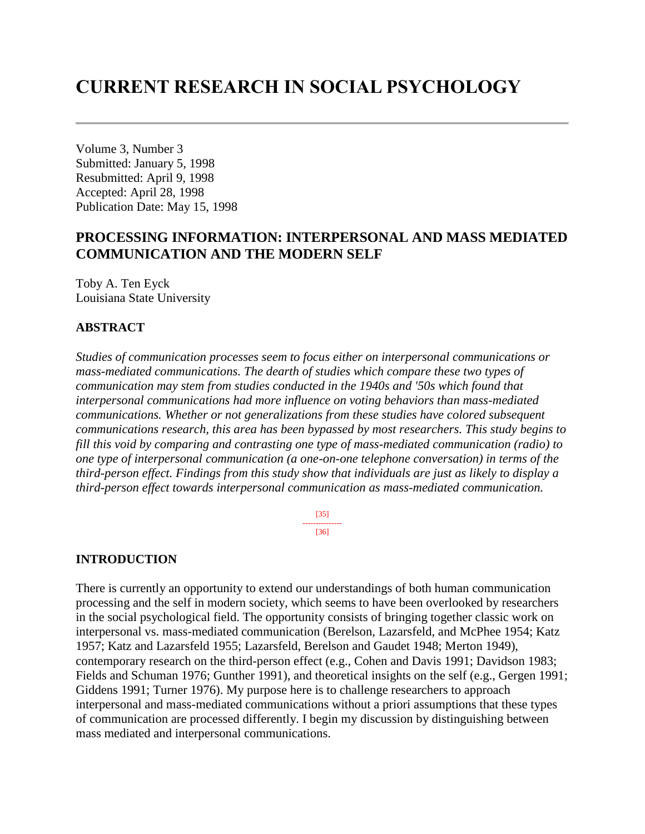# **CURRENT RESEARCH IN SOCIAL PSYCHOLOGY**

Volume 3, Number 3 Submitted: January 5, 1998 Resubmitted: April 9, 1998 Accepted: April 28, 1998 Publication Date: May 15, 1998

# **PROCESSING INFORMATION: INTERPERSONAL AND MASS MEDIATED COMMUNICATION AND THE MODERN SELF**

Toby A. Ten Eyck Louisiana State University

### **ABSTRACT**

*Studies of communication processes seem to focus either on interpersonal communications or mass-mediated communications. The dearth of studies which compare these two types of communication may stem from studies conducted in the 1940s and '50s which found that interpersonal communications had more influence on voting behaviors than mass-mediated communications. Whether or not generalizations from these studies have colored subsequent communications research, this area has been bypassed by most researchers. This study begins to fill this void by comparing and contrasting one type of mass-mediated communication (radio) to one type of interpersonal communication (a one-on-one telephone conversation) in terms of the third-person effect. Findings from this study show that individuals are just as likely to display a third-person effect towards interpersonal communication as mass-mediated communication.*

> [35] --------------- [36]

### **INTRODUCTION**

There is currently an opportunity to extend our understandings of both human communication processing and the self in modern society, which seems to have been overlooked by researchers in the social psychological field. The opportunity consists of bringing together classic work on interpersonal vs. mass-mediated communication (Berelson, Lazarsfeld, and McPhee 1954; Katz 1957; Katz and Lazarsfeld 1955; Lazarsfeld, Berelson and Gaudet 1948; Merton 1949), contemporary research on the third-person effect (e.g., Cohen and Davis 1991; Davidson 1983; Fields and Schuman 1976; Gunther 1991), and theoretical insights on the self (e.g., Gergen 1991; Giddens 1991; Turner 1976). My purpose here is to challenge researchers to approach interpersonal and mass-mediated communications without a priori assumptions that these types of communication are processed differently. I begin my discussion by distinguishing between mass mediated and interpersonal communications.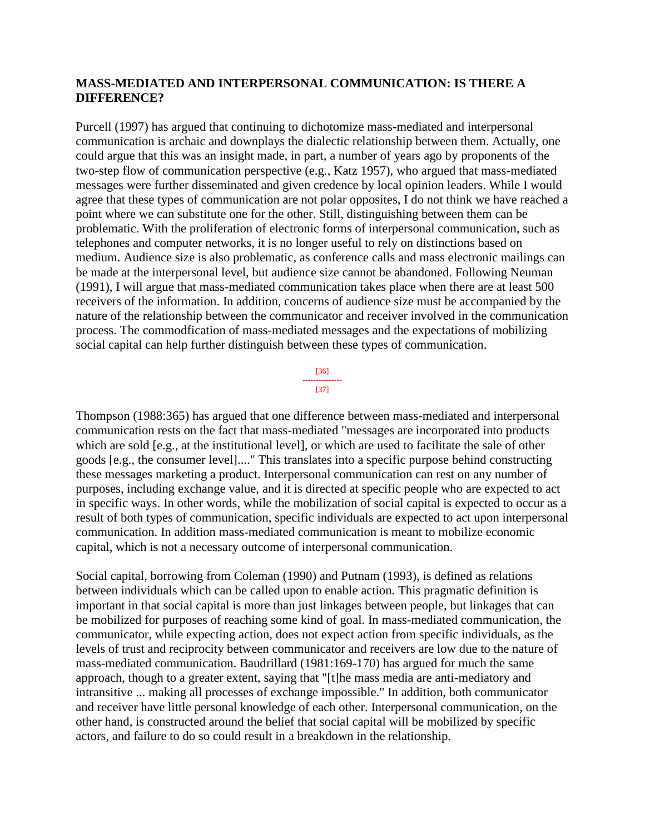### **MASS-MEDIATED AND INTERPERSONAL COMMUNICATION: IS THERE A DIFFERENCE?**

Purcell (1997) has argued that continuing to dichotomize mass-mediated and interpersonal communication is archaic and downplays the dialectic relationship between them. Actually, one could argue that this was an insight made, in part, a number of years ago by proponents of the two-step flow of communication perspective (e.g., Katz 1957), who argued that mass-mediated messages were further disseminated and given credence by local opinion leaders. While I would agree that these types of communication are not polar opposites, I do not think we have reached a point where we can substitute one for the other. Still, distinguishing between them can be problematic. With the proliferation of electronic forms of interpersonal communication, such as telephones and computer networks, it is no longer useful to rely on distinctions based on medium. Audience size is also problematic, as conference calls and mass electronic mailings can be made at the interpersonal level, but audience size cannot be abandoned. Following Neuman (1991), I will argue that mass-mediated communication takes place when there are at least 500 receivers of the information. In addition, concerns of audience size must be accompanied by the nature of the relationship between the communicator and receiver involved in the communication process. The commodfication of mass-mediated messages and the expectations of mobilizing social capital can help further distinguish between these types of communication.

> [36] --------------- [37]

Thompson (1988:365) has argued that one difference between mass-mediated and interpersonal communication rests on the fact that mass-mediated "messages are incorporated into products which are sold [e.g., at the institutional level], or which are used to facilitate the sale of other goods [e.g., the consumer level]...." This translates into a specific purpose behind constructing these messages marketing a product. Interpersonal communication can rest on any number of purposes, including exchange value, and it is directed at specific people who are expected to act in specific ways. In other words, while the mobilization of social capital is expected to occur as a result of both types of communication, specific individuals are expected to act upon interpersonal communication. In addition mass-mediated communication is meant to mobilize economic capital, which is not a necessary outcome of interpersonal communication.

Social capital, borrowing from Coleman (1990) and Putnam (1993), is defined as relations between individuals which can be called upon to enable action. This pragmatic definition is important in that social capital is more than just linkages between people, but linkages that can be mobilized for purposes of reaching some kind of goal. In mass-mediated communication, the communicator, while expecting action, does not expect action from specific individuals, as the levels of trust and reciprocity between communicator and receivers are low due to the nature of mass-mediated communication. Baudrillard (1981:169-170) has argued for much the same approach, though to a greater extent, saying that "[t]he mass media are anti-mediatory and intransitive ... making all processes of exchange impossible." In addition, both communicator and receiver have little personal knowledge of each other. Interpersonal communication, on the other hand, is constructed around the belief that social capital will be mobilized by specific actors, and failure to do so could result in a breakdown in the relationship.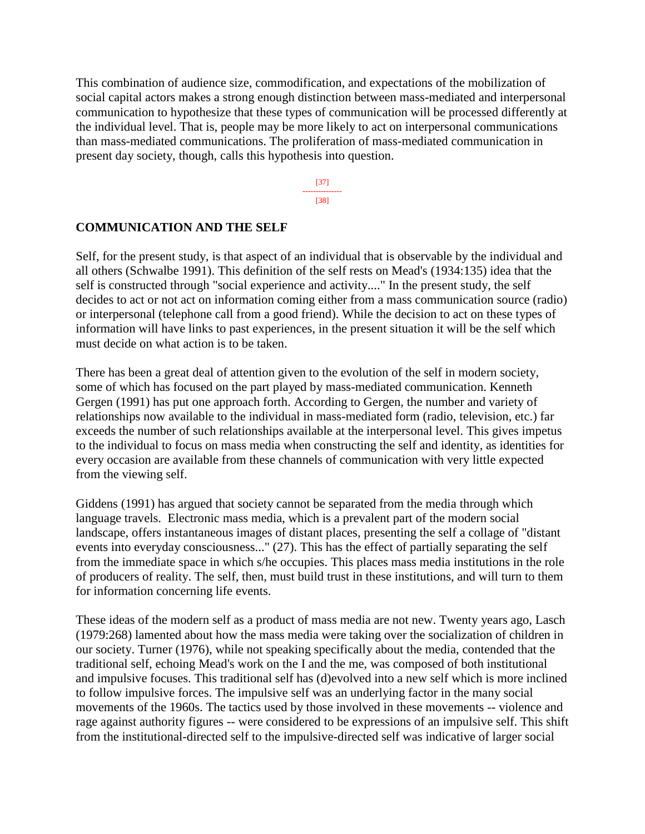This combination of audience size, commodification, and expectations of the mobilization of social capital actors makes a strong enough distinction between mass-mediated and interpersonal communication to hypothesize that these types of communication will be processed differently at the individual level. That is, people may be more likely to act on interpersonal communications than mass-mediated communications. The proliferation of mass-mediated communication in present day society, though, calls this hypothesis into question.

> [37] --------------- [38]

### **COMMUNICATION AND THE SELF**

Self, for the present study, is that aspect of an individual that is observable by the individual and all others (Schwalbe 1991). This definition of the self rests on Mead's (1934:135) idea that the self is constructed through "social experience and activity...." In the present study, the self decides to act or not act on information coming either from a mass communication source (radio) or interpersonal (telephone call from a good friend). While the decision to act on these types of information will have links to past experiences, in the present situation it will be the self which must decide on what action is to be taken.

There has been a great deal of attention given to the evolution of the self in modern society, some of which has focused on the part played by mass-mediated communication. Kenneth Gergen (1991) has put one approach forth. According to Gergen, the number and variety of relationships now available to the individual in mass-mediated form (radio, television, etc.) far exceeds the number of such relationships available at the interpersonal level. This gives impetus to the individual to focus on mass media when constructing the self and identity, as identities for every occasion are available from these channels of communication with very little expected from the viewing self.

Giddens (1991) has argued that society cannot be separated from the media through which language travels. Electronic mass media, which is a prevalent part of the modern social landscape, offers instantaneous images of distant places, presenting the self a collage of "distant events into everyday consciousness..." (27). This has the effect of partially separating the self from the immediate space in which s/he occupies. This places mass media institutions in the role of producers of reality. The self, then, must build trust in these institutions, and will turn to them for information concerning life events.

These ideas of the modern self as a product of mass media are not new. Twenty years ago, Lasch (1979:268) lamented about how the mass media were taking over the socialization of children in our society. Turner (1976), while not speaking specifically about the media, contended that the traditional self, echoing Mead's work on the I and the me, was composed of both institutional and impulsive focuses. This traditional self has (d)evolved into a new self which is more inclined to follow impulsive forces. The impulsive self was an underlying factor in the many social movements of the 1960s. The tactics used by those involved in these movements -- violence and rage against authority figures -- were considered to be expressions of an impulsive self. This shift from the institutional-directed self to the impulsive-directed self was indicative of larger social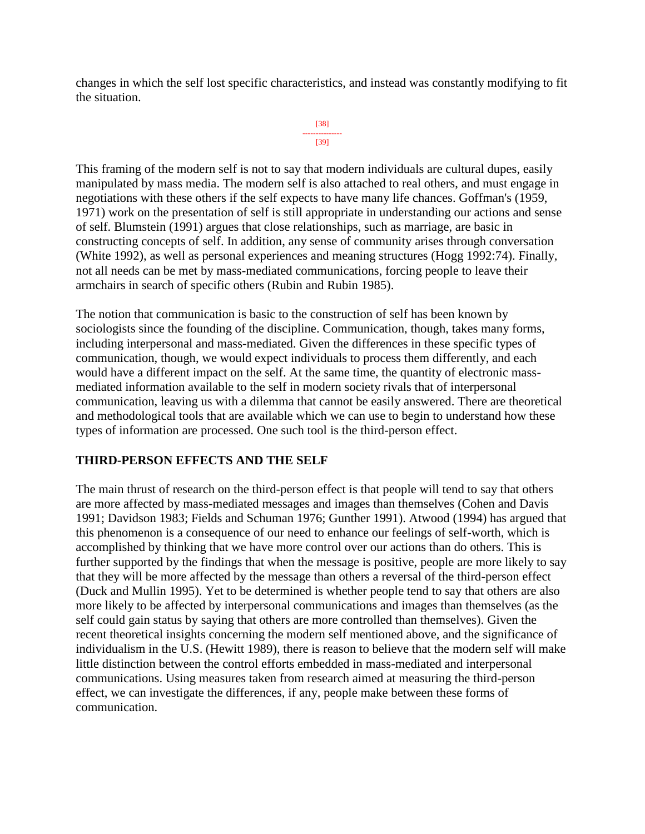changes in which the self lost specific characteristics, and instead was constantly modifying to fit the situation.

```
[38]
---------------
    [39]
```
This framing of the modern self is not to say that modern individuals are cultural dupes, easily manipulated by mass media. The modern self is also attached to real others, and must engage in negotiations with these others if the self expects to have many life chances. Goffman's (1959, 1971) work on the presentation of self is still appropriate in understanding our actions and sense of self. Blumstein (1991) argues that close relationships, such as marriage, are basic in constructing concepts of self. In addition, any sense of community arises through conversation (White 1992), as well as personal experiences and meaning structures (Hogg 1992:74). Finally, not all needs can be met by mass-mediated communications, forcing people to leave their armchairs in search of specific others (Rubin and Rubin 1985).

The notion that communication is basic to the construction of self has been known by sociologists since the founding of the discipline. Communication, though, takes many forms, including interpersonal and mass-mediated. Given the differences in these specific types of communication, though, we would expect individuals to process them differently, and each would have a different impact on the self. At the same time, the quantity of electronic massmediated information available to the self in modern society rivals that of interpersonal communication, leaving us with a dilemma that cannot be easily answered. There are theoretical and methodological tools that are available which we can use to begin to understand how these types of information are processed. One such tool is the third-person effect.

### **THIRD-PERSON EFFECTS AND THE SELF**

The main thrust of research on the third-person effect is that people will tend to say that others are more affected by mass-mediated messages and images than themselves (Cohen and Davis 1991; Davidson 1983; Fields and Schuman 1976; Gunther 1991). Atwood (1994) has argued that this phenomenon is a consequence of our need to enhance our feelings of self-worth, which is accomplished by thinking that we have more control over our actions than do others. This is further supported by the findings that when the message is positive, people are more likely to say that they will be more affected by the message than others a reversal of the third-person effect (Duck and Mullin 1995). Yet to be determined is whether people tend to say that others are also more likely to be affected by interpersonal communications and images than themselves (as the self could gain status by saying that others are more controlled than themselves). Given the recent theoretical insights concerning the modern self mentioned above, and the significance of individualism in the U.S. (Hewitt 1989), there is reason to believe that the modern self will make little distinction between the control efforts embedded in mass-mediated and interpersonal communications. Using measures taken from research aimed at measuring the third-person effect, we can investigate the differences, if any, people make between these forms of communication.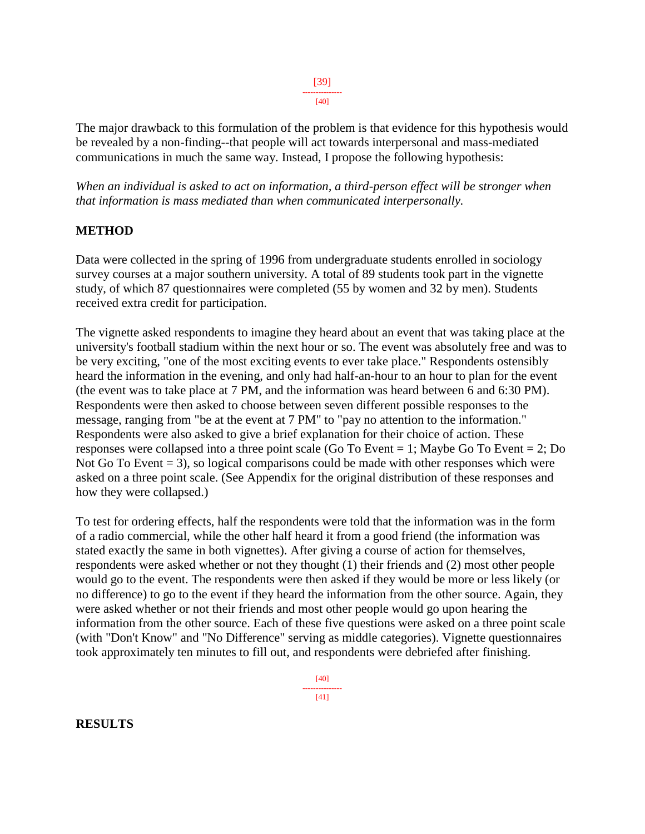[39]

--------------- [40]

The major drawback to this formulation of the problem is that evidence for this hypothesis would be revealed by a non-finding--that people will act towards interpersonal and mass-mediated communications in much the same way. Instead, I propose the following hypothesis:

*When an individual is asked to act on information, a third-person effect will be stronger when that information is mass mediated than when communicated interpersonally.*

### **METHOD**

Data were collected in the spring of 1996 from undergraduate students enrolled in sociology survey courses at a major southern university. A total of 89 students took part in the vignette study, of which 87 questionnaires were completed (55 by women and 32 by men). Students received extra credit for participation.

The vignette asked respondents to imagine they heard about an event that was taking place at the university's football stadium within the next hour or so. The event was absolutely free and was to be very exciting, "one of the most exciting events to ever take place." Respondents ostensibly heard the information in the evening, and only had half-an-hour to an hour to plan for the event (the event was to take place at 7 PM, and the information was heard between 6 and 6:30 PM). Respondents were then asked to choose between seven different possible responses to the message, ranging from "be at the event at 7 PM" to "pay no attention to the information." Respondents were also asked to give a brief explanation for their choice of action. These responses were collapsed into a three point scale (Go To Event = 1; Maybe Go To Event = 2; Do Not Go To Event  $= 3$ ), so logical comparisons could be made with other responses which were asked on a three point scale. (See Appendix for the original distribution of these responses and how they were collapsed.)

To test for ordering effects, half the respondents were told that the information was in the form of a radio commercial, while the other half heard it from a good friend (the information was stated exactly the same in both vignettes). After giving a course of action for themselves, respondents were asked whether or not they thought (1) their friends and (2) most other people would go to the event. The respondents were then asked if they would be more or less likely (or no difference) to go to the event if they heard the information from the other source. Again, they were asked whether or not their friends and most other people would go upon hearing the information from the other source. Each of these five questions were asked on a three point scale (with "Don't Know" and "No Difference" serving as middle categories). Vignette questionnaires took approximately ten minutes to fill out, and respondents were debriefed after finishing.

**RESULTS**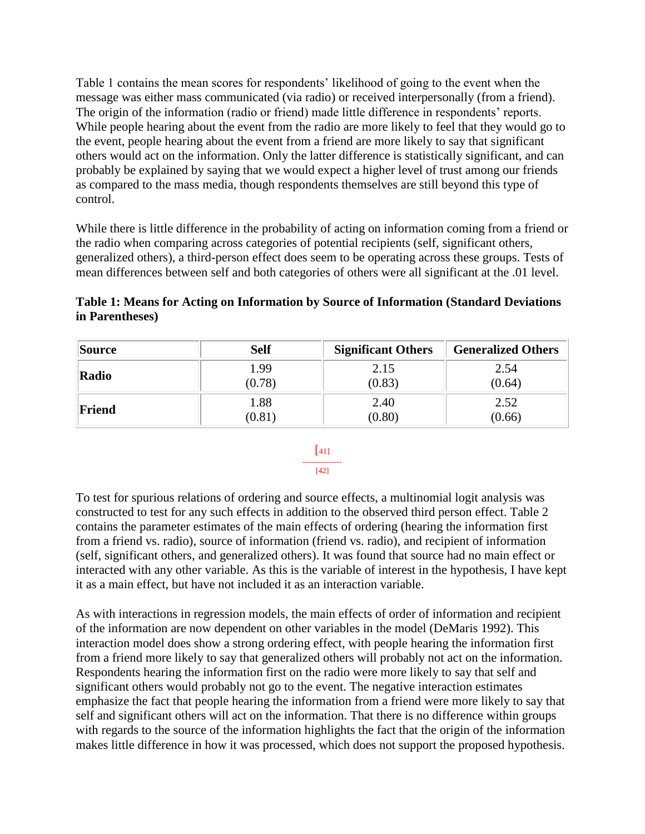Table 1 contains the mean scores for respondents' likelihood of going to the event when the message was either mass communicated (via radio) or received interpersonally (from a friend). The origin of the information (radio or friend) made little difference in respondents' reports. While people hearing about the event from the radio are more likely to feel that they would go to the event, people hearing about the event from a friend are more likely to say that significant others would act on the information. Only the latter difference is statistically significant, and can probably be explained by saying that we would expect a higher level of trust among our friends as compared to the mass media, though respondents themselves are still beyond this type of control.

While there is little difference in the probability of acting on information coming from a friend or the radio when comparing across categories of potential recipients (self, significant others, generalized others), a third-person effect does seem to be operating across these groups. Tests of mean differences between self and both categories of others were all significant at the .01 level.

|                 | Table 1: Means for Acting on Information by Source of Information (Standard Deviations) |  |
|-----------------|-----------------------------------------------------------------------------------------|--|
| in Parentheses) |                                                                                         |  |

| Source | <b>Self</b> | <b>Significant Others</b> | <b>Generalized Others</b> |
|--------|-------------|---------------------------|---------------------------|
| Radio  | .99         | 2.15                      | 2.54                      |
|        | (0.78)      | (0.83)                    | (0.64)                    |
| Friend | 1.88        | 2.40                      | 2.52                      |
|        | (0.81)      | (0.80)                    | (0.66)                    |

#### $\lceil 41 \rceil$ --------------- [42]

To test for spurious relations of ordering and source effects, a multinomial logit analysis was constructed to test for any such effects in addition to the observed third person effect. Table 2 contains the parameter estimates of the main effects of ordering (hearing the information first from a friend vs. radio), source of information (friend vs. radio), and recipient of information (self, significant others, and generalized others). It was found that source had no main effect or interacted with any other variable. As this is the variable of interest in the hypothesis, I have kept it as a main effect, but have not included it as an interaction variable.

As with interactions in regression models, the main effects of order of information and recipient of the information are now dependent on other variables in the model (DeMaris 1992). This interaction model does show a strong ordering effect, with people hearing the information first from a friend more likely to say that generalized others will probably not act on the information. Respondents hearing the information first on the radio were more likely to say that self and significant others would probably not go to the event. The negative interaction estimates emphasize the fact that people hearing the information from a friend were more likely to say that self and significant others will act on the information. That there is no difference within groups with regards to the source of the information highlights the fact that the origin of the information makes little difference in how it was processed, which does not support the proposed hypothesis.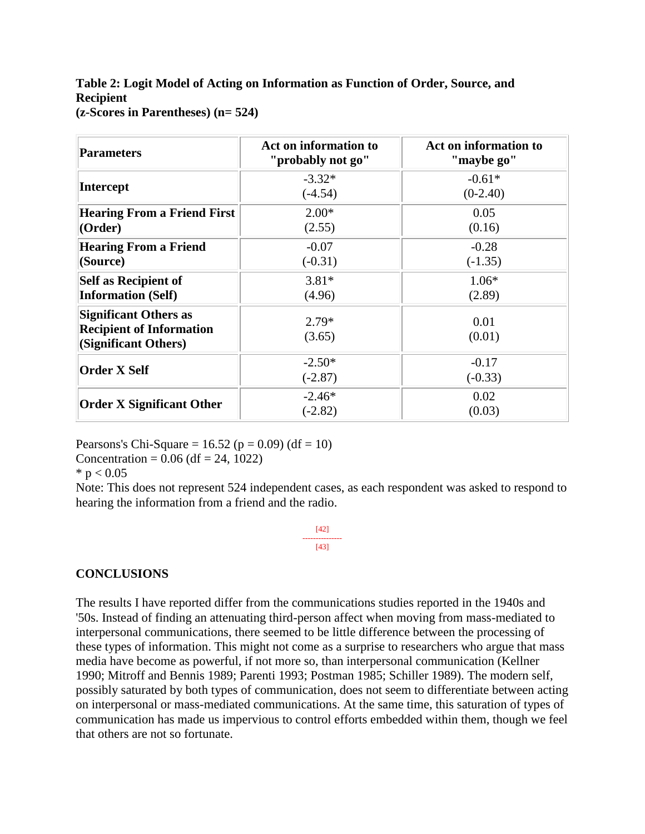### **Table 2: Logit Model of Acting on Information as Function of Order, Source, and Recipient (z-Scores in Parentheses) (n= 524)**

| <b>Parameters</b>                                                                       | Act on information to<br>"probably not go" | Act on information to<br>"maybe go" |
|-----------------------------------------------------------------------------------------|--------------------------------------------|-------------------------------------|
| <b>Intercept</b>                                                                        | $-3.32*$<br>$(-4.54)$                      | $-0.61*$<br>$(0-2.40)$              |
| <b>Hearing From a Friend First</b><br>(Order)                                           | $2.00*$<br>(2.55)                          | 0.05<br>(0.16)                      |
| <b>Hearing From a Friend</b><br>(Source)                                                | $-0.07$<br>$(-0.31)$                       | $-0.28$<br>$(-1.35)$                |
| <b>Self as Recipient of</b><br><b>Information (Self)</b>                                | $3.81*$<br>(4.96)                          | $1.06*$<br>(2.89)                   |
| <b>Significant Others as</b><br><b>Recipient of Information</b><br>(Significant Others) | $2.79*$<br>(3.65)                          | 0.01<br>(0.01)                      |
| <b>Order X Self</b>                                                                     | $-2.50*$<br>$(-2.87)$                      | $-0.17$<br>$(-0.33)$                |
| <b>Order X Significant Other</b>                                                        | $-2.46*$<br>$(-2.82)$                      | 0.02<br>(0.03)                      |

Pearsons's Chi-Square =  $16.52$  (p = 0.09) (df = 10)

Concentration =  $0.06$  (df = 24, 1022)

 $*$  p  $< 0.05$ 

Note: This does not represent 524 independent cases, as each respondent was asked to respond to hearing the information from a friend and the radio.

> [42] --------------- [43]

### **CONCLUSIONS**

The results I have reported differ from the communications studies reported in the 1940s and '50s. Instead of finding an attenuating third-person affect when moving from mass-mediated to interpersonal communications, there seemed to be little difference between the processing of these types of information. This might not come as a surprise to researchers who argue that mass media have become as powerful, if not more so, than interpersonal communication (Kellner 1990; Mitroff and Bennis 1989; Parenti 1993; Postman 1985; Schiller 1989). The modern self, possibly saturated by both types of communication, does not seem to differentiate between acting on interpersonal or mass-mediated communications. At the same time, this saturation of types of communication has made us impervious to control efforts embedded within them, though we feel that others are not so fortunate.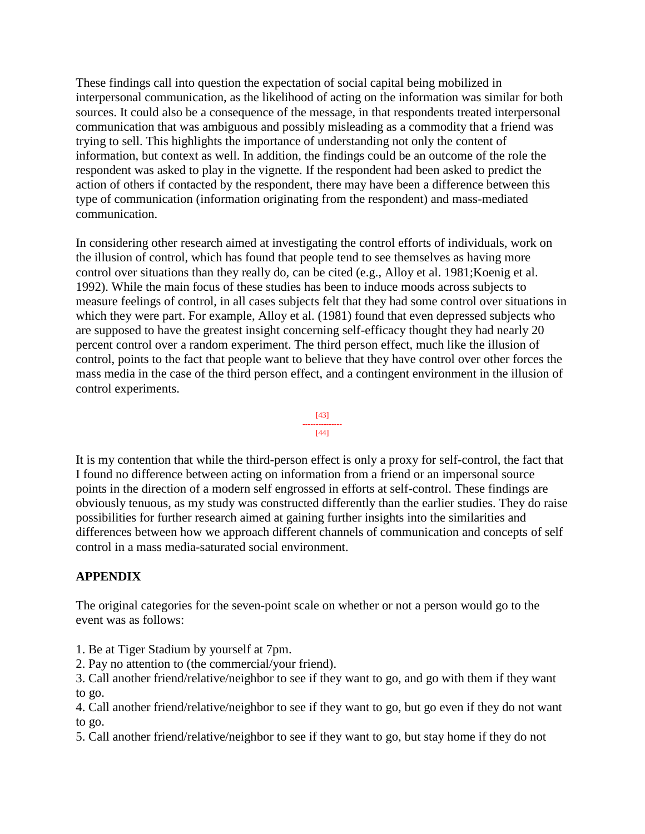These findings call into question the expectation of social capital being mobilized in interpersonal communication, as the likelihood of acting on the information was similar for both sources. It could also be a consequence of the message, in that respondents treated interpersonal communication that was ambiguous and possibly misleading as a commodity that a friend was trying to sell. This highlights the importance of understanding not only the content of information, but context as well. In addition, the findings could be an outcome of the role the respondent was asked to play in the vignette. If the respondent had been asked to predict the action of others if contacted by the respondent, there may have been a difference between this type of communication (information originating from the respondent) and mass-mediated communication.

In considering other research aimed at investigating the control efforts of individuals, work on the illusion of control, which has found that people tend to see themselves as having more control over situations than they really do, can be cited (e.g., Alloy et al. 1981;Koenig et al. 1992). While the main focus of these studies has been to induce moods across subjects to measure feelings of control, in all cases subjects felt that they had some control over situations in which they were part. For example, Alloy et al. (1981) found that even depressed subjects who are supposed to have the greatest insight concerning self-efficacy thought they had nearly 20 percent control over a random experiment. The third person effect, much like the illusion of control, points to the fact that people want to believe that they have control over other forces the mass media in the case of the third person effect, and a contingent environment in the illusion of control experiments.



It is my contention that while the third-person effect is only a proxy for self-control, the fact that I found no difference between acting on information from a friend or an impersonal source points in the direction of a modern self engrossed in efforts at self-control. These findings are obviously tenuous, as my study was constructed differently than the earlier studies. They do raise possibilities for further research aimed at gaining further insights into the similarities and differences between how we approach different channels of communication and concepts of self control in a mass media-saturated social environment.

# **APPENDIX**

The original categories for the seven-point scale on whether or not a person would go to the event was as follows:

- 1. Be at Tiger Stadium by yourself at 7pm.
- 2. Pay no attention to (the commercial/your friend).
- 3. Call another friend/relative/neighbor to see if they want to go, and go with them if they want to go.
- 4. Call another friend/relative/neighbor to see if they want to go, but go even if they do not want to go.
- 5. Call another friend/relative/neighbor to see if they want to go, but stay home if they do not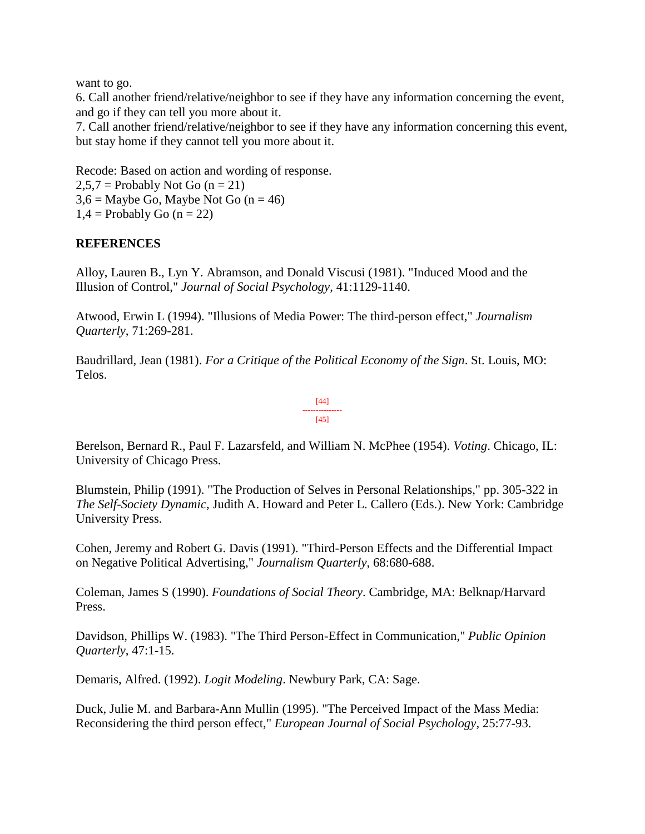want to go.

6. Call another friend/relative/neighbor to see if they have any information concerning the event, and go if they can tell you more about it.

7. Call another friend/relative/neighbor to see if they have any information concerning this event, but stay home if they cannot tell you more about it.

Recode: Based on action and wording of response.  $2,5,7$  = Probably Not Go (n = 21)  $3.6$  = Maybe Go, Maybe Not Go (n = 46)  $1,4$  = Probably Go (n = 22)

## **REFERENCES**

Alloy, Lauren B., Lyn Y. Abramson, and Donald Viscusi (1981). "Induced Mood and the Illusion of Control," *Journal of Social Psychology*, 41:1129-1140.

Atwood, Erwin L (1994). "Illusions of Media Power: The third-person effect," *Journalism Quarterly*, 71:269-281.

Baudrillard, Jean (1981). *For a Critique of the Political Economy of the Sign*. St. Louis, MO: Telos.

#### [44] --------------- [45]

Berelson, Bernard R., Paul F. Lazarsfeld, and William N. McPhee (1954). *Voting*. Chicago, IL: University of Chicago Press.

Blumstein, Philip (1991). "The Production of Selves in Personal Relationships," pp. 305-322 in *The Self-Society Dynamic*, Judith A. Howard and Peter L. Callero (Eds.). New York: Cambridge University Press.

Cohen, Jeremy and Robert G. Davis (1991). "Third-Person Effects and the Differential Impact on Negative Political Advertising," *Journalism Quarterly*, 68:680-688.

Coleman, James S (1990). *Foundations of Social Theory*. Cambridge, MA: Belknap/Harvard Press.

Davidson, Phillips W. (1983). "The Third Person-Effect in Communication," *Public Opinion Quarterly*, 47:1-15.

Demaris, Alfred. (1992). *Logit Modeling*. Newbury Park, CA: Sage.

Duck, Julie M. and Barbara-Ann Mullin (1995). "The Perceived Impact of the Mass Media: Reconsidering the third person effect," *European Journal of Social Psychology*, 25:77-93.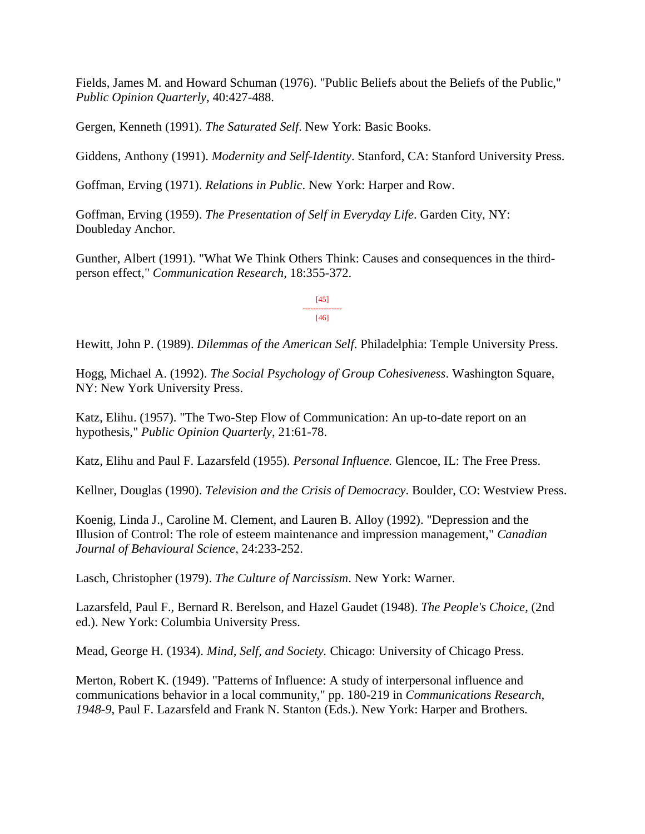Fields, James M. and Howard Schuman (1976). "Public Beliefs about the Beliefs of the Public," *Public Opinion Quarterly*, 40:427-488.

Gergen, Kenneth (1991). *The Saturated Self*. New York: Basic Books.

Giddens, Anthony (1991). *Modernity and Self-Identity*. Stanford, CA: Stanford University Press.

Goffman, Erving (1971). *Relations in Public*. New York: Harper and Row.

Goffman, Erving (1959). *The Presentation of Self in Everyday Life*. Garden City, NY: Doubleday Anchor.

Gunther, Albert (1991). "What We Think Others Think: Causes and consequences in the thirdperson effect," *Communication Research*, 18:355-372.

> [45] --------------- [46]

Hewitt, John P. (1989). *Dilemmas of the American Self*. Philadelphia: Temple University Press.

Hogg, Michael A. (1992). *The Social Psychology of Group Cohesiveness*. Washington Square, NY: New York University Press.

Katz, Elihu. (1957). "The Two-Step Flow of Communication: An up-to-date report on an hypothesis," *Public Opinion Quarterly*, 21:61-78.

Katz, Elihu and Paul F. Lazarsfeld (1955). *Personal Influence.* Glencoe, IL: The Free Press.

Kellner, Douglas (1990). *Television and the Crisis of Democracy*. Boulder, CO: Westview Press.

Koenig, Linda J., Caroline M. Clement, and Lauren B. Alloy (1992). "Depression and the Illusion of Control: The role of esteem maintenance and impression management," *Canadian Journal of Behavioural Science*, 24:233-252.

Lasch, Christopher (1979). *The Culture of Narcissism*. New York: Warner.

Lazarsfeld, Paul F., Bernard R. Berelson, and Hazel Gaudet (1948). *The People's Choice*, (2nd ed.). New York: Columbia University Press.

Mead, George H. (1934). *Mind, Self, and Society.* Chicago: University of Chicago Press.

Merton, Robert K. (1949). "Patterns of Influence: A study of interpersonal influence and communications behavior in a local community," pp. 180-219 in *Communications Research, 1948-9*, Paul F. Lazarsfeld and Frank N. Stanton (Eds.). New York: Harper and Brothers.